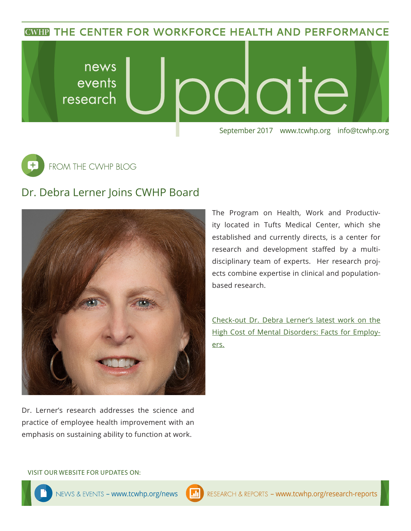**CWHP THE CENTER FOR WORKFORCE HEALTH AND PERFORMANCE** 



 $\overline{\texttt{+}}$ FROM THE CWHP BLOG

## Dr. Debra Lerner Joins CWHP Board



Dr. Lerner's research addresses the science and practice of employee health improvement with an emphasis on sustaining ability to function at work.

The Program on Health, Work and Productivity located in Tufts Medical Center, which she established and currently directs, is a center for research and development staffed by a multidisciplinary team of experts. Her research projects combine expertise in clinical and populationbased research.

[Check-out Dr. Debra Lerner's latest work on the](https://onemindinitiative.org/at-work/the-business-case/)  [High Cost of Mental Disorders: Facts for Employ](https://onemindinitiative.org/at-work/the-business-case/)[ers.](https://onemindinitiative.org/at-work/the-business-case/)

VISIT OUR WEBSITE FOR UPDATES ON: